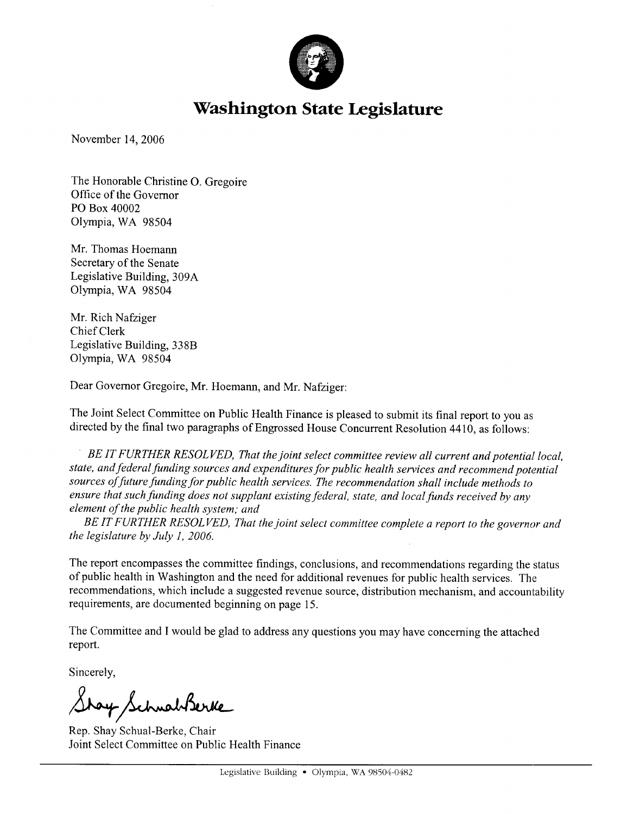

# **Washington State Legislature**

November 14, 2006

The Honorable Christine O. Gregoire Office of the Governor PO Box 40002 Olympia, WA 98504

Mr. Thomas Hoemann Secretary of the Senate Legislative Building, 309A Olympia, WA 98504

Mr. Rich Nafziger Chief Clerk Legislative Building, 338B Olympia, WA 98504

Dear Governor Gregoire, Mr. Hoemann, and Mr. Nafziger:

The Joint Select Committee on Public Health Finance is pleased to submit its final report to you as directed by the final two paragraphs of Engrossed House Concurrent Resolution 4410, as follows:

BE IT FURTHER RESOLVED, That the joint select committee review all current and potential local, state, and federal funding sources and expenditures for public health services and recommend potential sources of future funding for public health services. The recommendation shall include methods to ensure that such funding does not supplant existing federal, state, and local funds received by any element of the public health system; and

BE IT FURTHER RESOLVED, That the joint select committee complete a report to the governor and the legislature by July 1, 2006.

The report encompasses the committee findings, conclusions, and recommendations regarding the status of public health in Washington and the need for additional revenues for public health services. The recommendations, which include a suggested revenue source, distribution mechanism, and accountability requirements, are documented beginning on page 15.

The Committee and I would be glad to address any questions you may have concerning the attached report.

Sincerely,

Stay Schwabberke

Rep. Shay Schual-Berke, Chair Joint Select Committee on Public Health Finance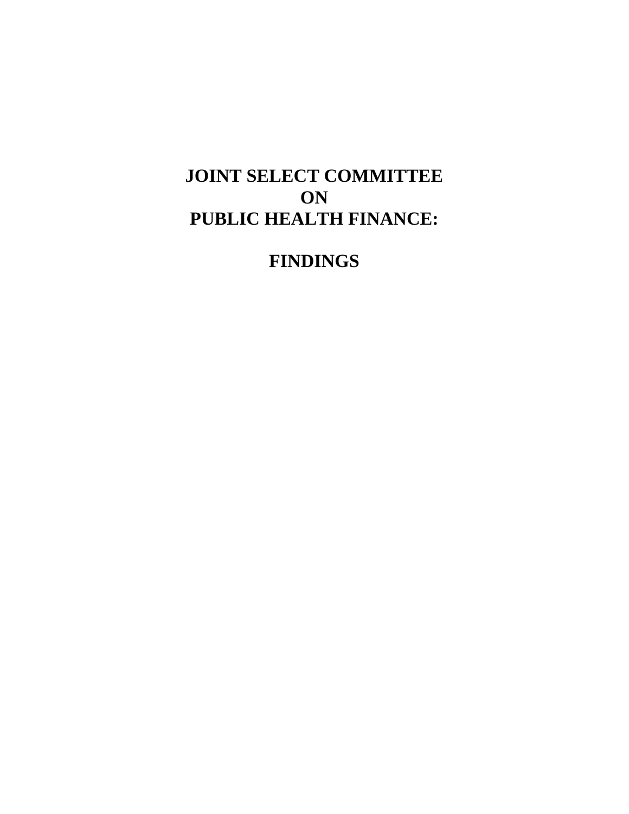# **JOINT SELECT COMMITTEE ON PUBLIC HEALTH FINANCE:**

**FINDINGS**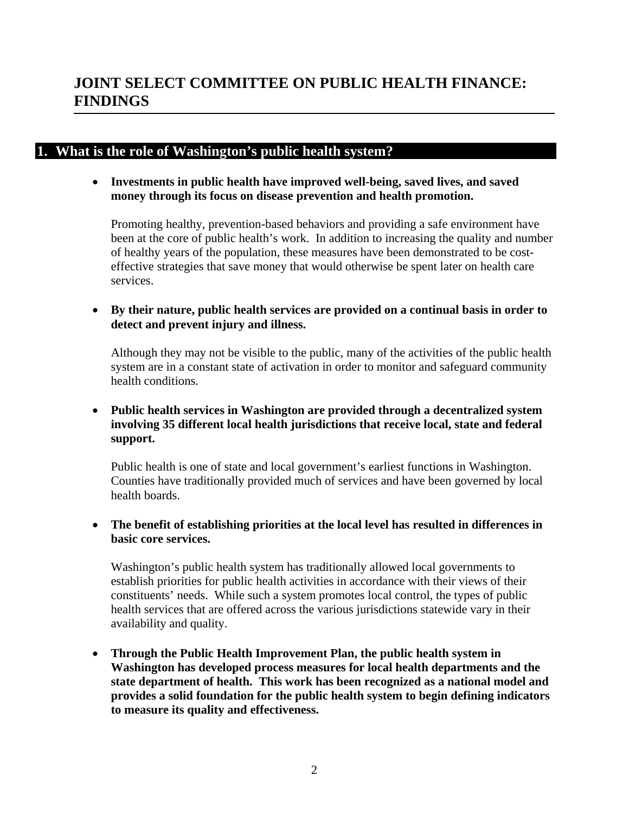## **1. What is the role of Washington's public health system?**

• **Investments in public health have improved well-being, saved lives, and saved money through its focus on disease prevention and health promotion.** 

Promoting healthy, prevention-based behaviors and providing a safe environment have been at the core of public health's work. In addition to increasing the quality and number of healthy years of the population, these measures have been demonstrated to be costeffective strategies that save money that would otherwise be spent later on health care services.

• **By their nature, public health services are provided on a continual basis in order to detect and prevent injury and illness.** 

Although they may not be visible to the public, many of the activities of the public health system are in a constant state of activation in order to monitor and safeguard community health conditions.

• **Public health services in Washington are provided through a decentralized system involving 35 different local health jurisdictions that receive local, state and federal support.**

Public health is one of state and local government's earliest functions in Washington. Counties have traditionally provided much of services and have been governed by local health boards.

• **The benefit of establishing priorities at the local level has resulted in differences in basic core services.** 

Washington's public health system has traditionally allowed local governments to establish priorities for public health activities in accordance with their views of their constituents' needs. While such a system promotes local control, the types of public health services that are offered across the various jurisdictions statewide vary in their availability and quality.

• **Through the Public Health Improvement Plan, the public health system in Washington has developed process measures for local health departments and the state department of health. This work has been recognized as a national model and provides a solid foundation for the public health system to begin defining indicators to measure its quality and effectiveness.**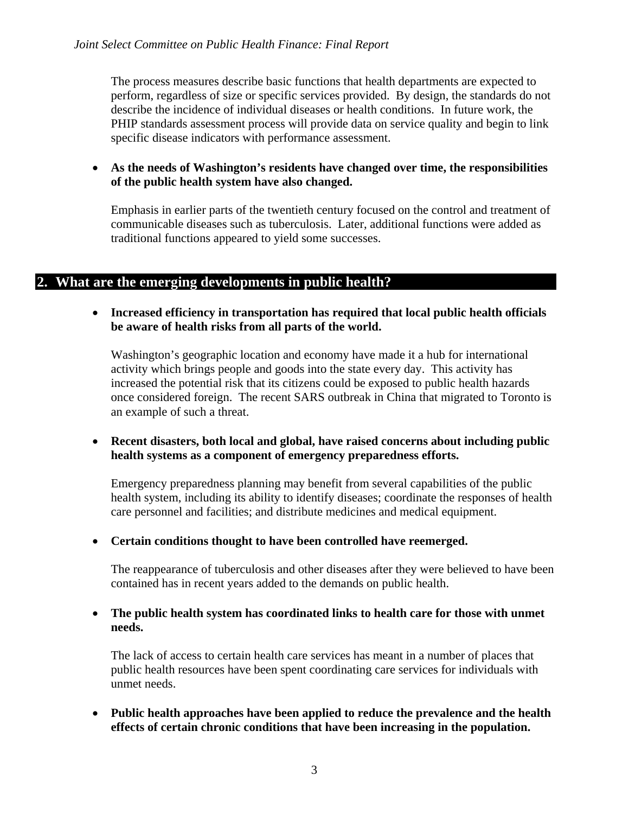The process measures describe basic functions that health departments are expected to perform, regardless of size or specific services provided. By design, the standards do not describe the incidence of individual diseases or health conditions. In future work, the PHIP standards assessment process will provide data on service quality and begin to link specific disease indicators with performance assessment.

#### • **As the needs of Washington's residents have changed over time, the responsibilities of the public health system have also changed.**

Emphasis in earlier parts of the twentieth century focused on the control and treatment of communicable diseases such as tuberculosis. Later, additional functions were added as traditional functions appeared to yield some successes.

## **2. What are the emerging developments in public health?**

#### • **Increased efficiency in transportation has required that local public health officials be aware of health risks from all parts of the world.**

Washington's geographic location and economy have made it a hub for international activity which brings people and goods into the state every day. This activity has increased the potential risk that its citizens could be exposed to public health hazards once considered foreign. The recent SARS outbreak in China that migrated to Toronto is an example of such a threat.

#### • **Recent disasters, both local and global, have raised concerns about including public health systems as a component of emergency preparedness efforts.**

Emergency preparedness planning may benefit from several capabilities of the public health system, including its ability to identify diseases; coordinate the responses of health care personnel and facilities; and distribute medicines and medical equipment.

#### • **Certain conditions thought to have been controlled have reemerged.**

The reappearance of tuberculosis and other diseases after they were believed to have been contained has in recent years added to the demands on public health.

#### • **The public health system has coordinated links to health care for those with unmet needs.**

The lack of access to certain health care services has meant in a number of places that public health resources have been spent coordinating care services for individuals with unmet needs.

• **Public health approaches have been applied to reduce the prevalence and the health effects of certain chronic conditions that have been increasing in the population.**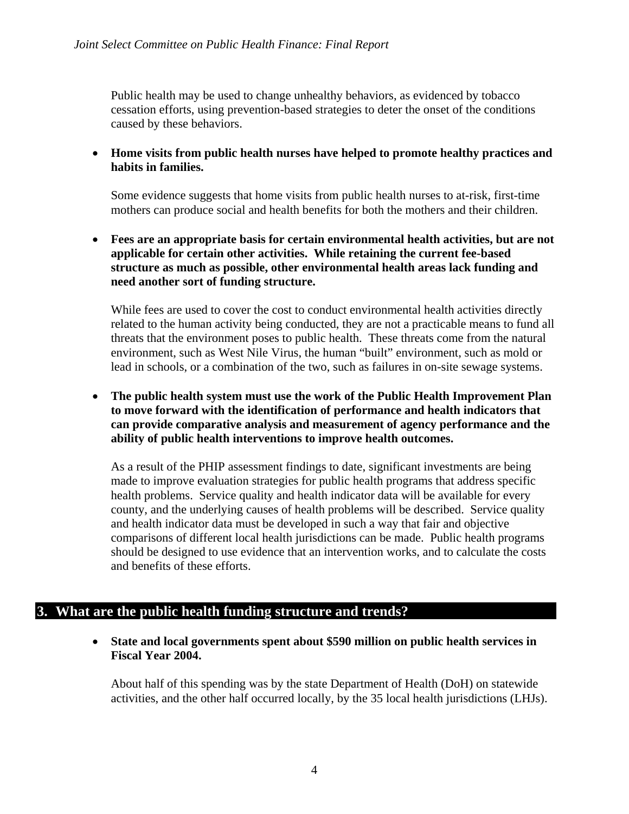Public health may be used to change unhealthy behaviors, as evidenced by tobacco cessation efforts, using prevention-based strategies to deter the onset of the conditions caused by these behaviors.

• **Home visits from public health nurses have helped to promote healthy practices and habits in families.** 

Some evidence suggests that home visits from public health nurses to at-risk, first-time mothers can produce social and health benefits for both the mothers and their children.

• **Fees are an appropriate basis for certain environmental health activities, but are not applicable for certain other activities. While retaining the current fee-based structure as much as possible, other environmental health areas lack funding and need another sort of funding structure.** 

While fees are used to cover the cost to conduct environmental health activities directly related to the human activity being conducted, they are not a practicable means to fund all threats that the environment poses to public health. These threats come from the natural environment, such as West Nile Virus, the human "built" environment, such as mold or lead in schools, or a combination of the two, such as failures in on-site sewage systems.

• **The public health system must use the work of the Public Health Improvement Plan to move forward with the identification of performance and health indicators that can provide comparative analysis and measurement of agency performance and the ability of public health interventions to improve health outcomes.** 

As a result of the PHIP assessment findings to date, significant investments are being made to improve evaluation strategies for public health programs that address specific health problems. Service quality and health indicator data will be available for every county, and the underlying causes of health problems will be described. Service quality and health indicator data must be developed in such a way that fair and objective comparisons of different local health jurisdictions can be made. Public health programs should be designed to use evidence that an intervention works, and to calculate the costs and benefits of these efforts.

#### **3. What are the public health funding structure and trends?**

• **State and local governments spent about \$590 million on public health services in Fiscal Year 2004.**

About half of this spending was by the state Department of Health (DoH) on statewide activities, and the other half occurred locally, by the 35 local health jurisdictions (LHJs).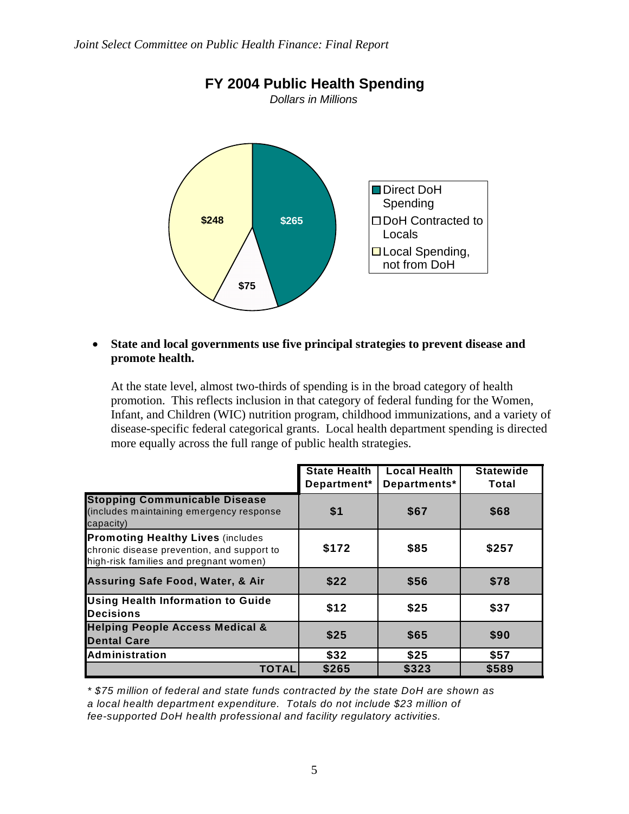

• **State and local governments use five principal strategies to prevent disease and promote health.**

At the state level, almost two-thirds of spending is in the broad category of health promotion. This reflects inclusion in that category of federal funding for the Women, Infant, and Children (WIC) nutrition program, childhood immunizations, and a variety of disease-specific federal categorical grants. Local health department spending is directed more equally across the full range of public health strategies.

|                                                                                                                                  | <b>State Health</b><br>Department* | <b>Local Health</b><br>Departments* | <b>Statewide</b><br>Total |
|----------------------------------------------------------------------------------------------------------------------------------|------------------------------------|-------------------------------------|---------------------------|
| <b>Stopping Communicable Disease</b><br>(includes maintaining emergency response<br>capacity)                                    | \$1                                | \$67                                | \$68                      |
| <b>Promoting Healthy Lives (includes</b><br>chronic disease prevention, and support to<br>high-risk families and pregnant women) | \$172                              | \$85                                | \$257                     |
| <b>Assuring Safe Food, Water, &amp; Air</b>                                                                                      | \$22                               | \$56                                | \$78                      |
| <b>Using Health Information to Guide</b><br><b>Decisions</b>                                                                     | \$12                               | \$25                                | \$37                      |
| <b>Helping People Access Medical &amp;</b><br><b>Dental Care</b>                                                                 | \$25                               | \$65                                | \$90                      |
| Administration                                                                                                                   | \$32                               | \$25                                | \$57                      |
| TOTAL                                                                                                                            | \$265                              | \$323                               | \$589                     |

*\* \$75 million of federal and state funds contracted by the state DoH are shown as a local health department expenditure. Totals do not include \$23 million of fee-supported DoH health professional and facility regulatory activities.*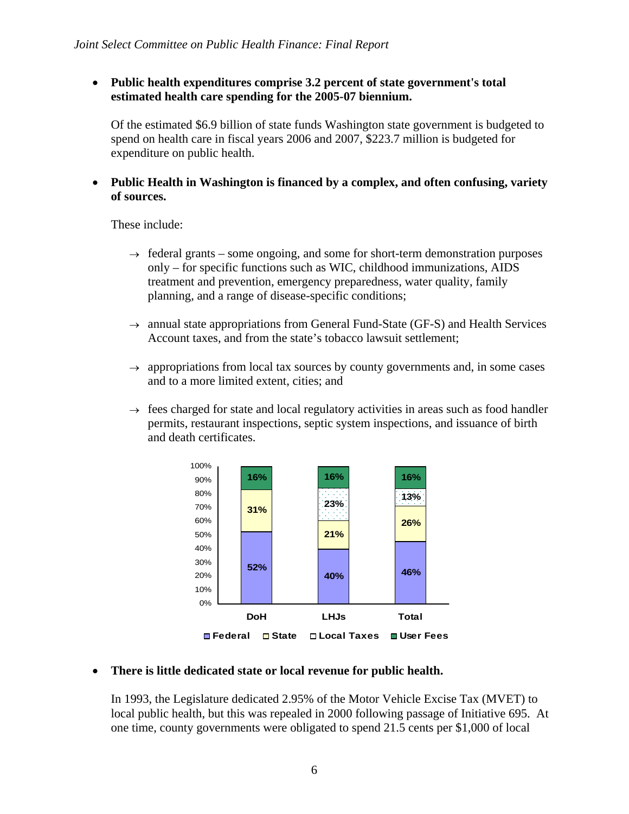• **Public health expenditures comprise 3.2 percent of state government's total estimated health care spending for the 2005-07 biennium.**

Of the estimated \$6.9 billion of state funds Washington state government is budgeted to spend on health care in fiscal years 2006 and 2007, \$223.7 million is budgeted for expenditure on public health.

• **Public Health in Washington is financed by a complex, and often confusing, variety of sources.**

These include:

- $\rightarrow$  federal grants some ongoing, and some for short-term demonstration purposes only – for specific functions such as WIC, childhood immunizations, AIDS treatment and prevention, emergency preparedness, water quality, family planning, and a range of disease-specific conditions;
- $\rightarrow$  annual state appropriations from General Fund-State (GF-S) and Health Services Account taxes, and from the state's tobacco lawsuit settlement;
- $\rightarrow$  appropriations from local tax sources by county governments and, in some cases and to a more limited extent, cities; and
- $\rightarrow$  fees charged for state and local regulatory activities in areas such as food handler permits, restaurant inspections, septic system inspections, and issuance of birth and death certificates.



#### • **There is little dedicated state or local revenue for public health.**

In 1993, the Legislature dedicated 2.95% of the Motor Vehicle Excise Tax (MVET) to local public health, but this was repealed in 2000 following passage of Initiative 695. At one time, county governments were obligated to spend 21.5 cents per \$1,000 of local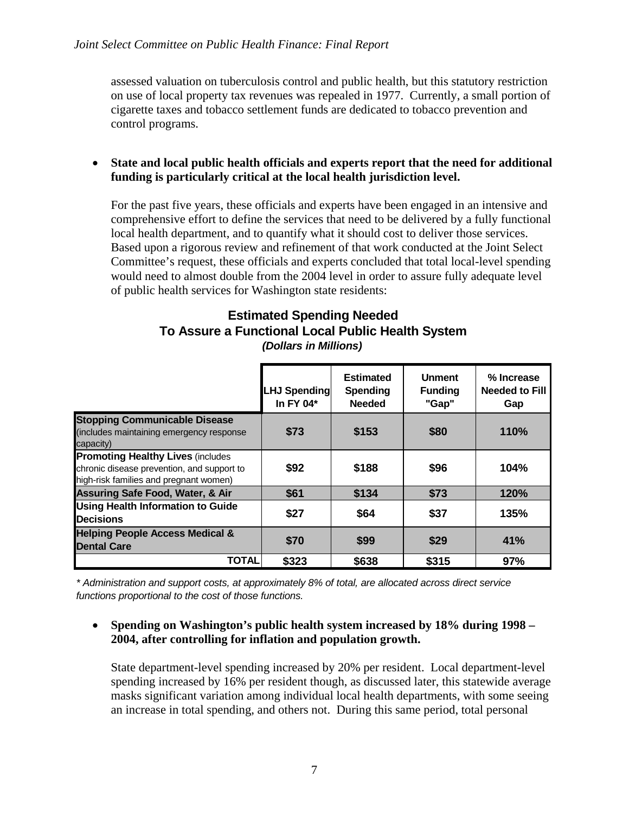assessed valuation on tuberculosis control and public health, but this statutory restriction on use of local property tax revenues was repealed in 1977. Currently, a small portion of cigarette taxes and tobacco settlement funds are dedicated to tobacco prevention and control programs.

#### • **State and local public health officials and experts report that the need for additional funding is particularly critical at the local health jurisdiction level.**

For the past five years, these officials and experts have been engaged in an intensive and comprehensive effort to define the services that need to be delivered by a fully functional local health department, and to quantify what it should cost to deliver those services. Based upon a rigorous review and refinement of that work conducted at the Joint Select Committee's request, these officials and experts concluded that total local-level spending would need to almost double from the 2004 level in order to assure fully adequate level of public health services for Washington state residents:

#### *(Dollars in Millions)* **Estimated Spending Needed To Assure a Functional Local Public Health System**

|                                                                                                                                  | <b>LHJ Spending</b><br>In FY 04* | <b>Estimated</b><br>Spending<br><b>Needed</b> | <b>Unment</b><br><b>Funding</b><br>"Gap" | % Increase<br><b>Needed to Fill</b><br>Gap |
|----------------------------------------------------------------------------------------------------------------------------------|----------------------------------|-----------------------------------------------|------------------------------------------|--------------------------------------------|
| <b>Stopping Communicable Disease</b><br>(includes maintaining emergency response<br>capacity)                                    | \$73                             | \$153                                         | \$80                                     | 110%                                       |
| <b>Promoting Healthy Lives (includes</b><br>chronic disease prevention, and support to<br>high-risk families and pregnant women) | \$92                             | \$188                                         | \$96                                     | 104%                                       |
| <b>Assuring Safe Food, Water, &amp; Air</b>                                                                                      | \$61                             | \$134                                         | \$73                                     | 120%                                       |
| <b>Using Health Information to Guide</b><br><b>Decisions</b>                                                                     | \$27                             | \$64                                          | \$37                                     | 135%                                       |
| <b>Helping People Access Medical &amp;</b><br><b>Dental Care</b>                                                                 | \$70                             | \$99                                          | \$29                                     | 41%                                        |
| <b>TOTAL</b>                                                                                                                     | \$323                            | \$638                                         | \$315                                    | 97%                                        |

*\* Administration and support costs, at approximately 8% of total, are allocated across direct service functions proportional to the cost of those functions.*

#### • **Spending on Washington's public health system increased by 18% during 1998 – 2004, after controlling for inflation and population growth.**

State department-level spending increased by 20% per resident. Local department-level spending increased by 16% per resident though, as discussed later, this statewide average masks significant variation among individual local health departments, with some seeing an increase in total spending, and others not. During this same period, total personal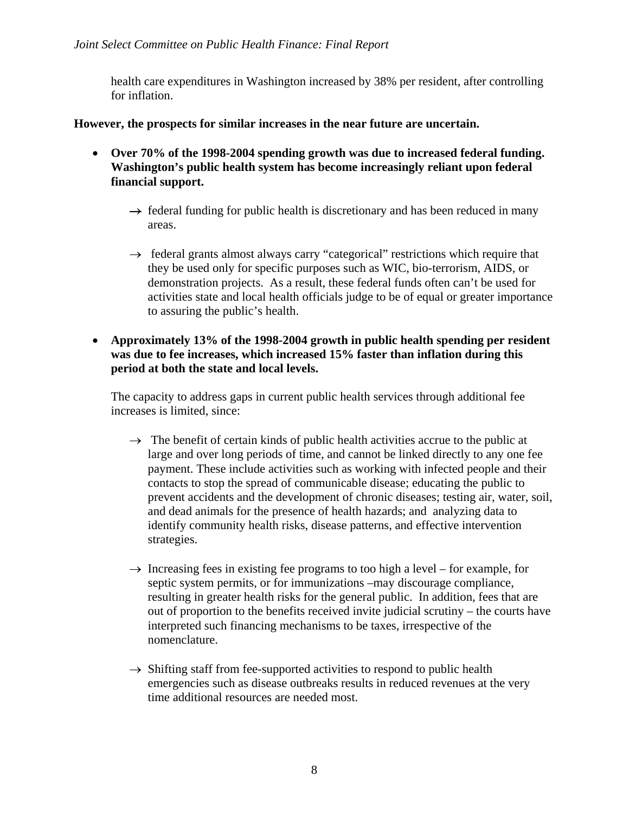health care expenditures in Washington increased by 38% per resident, after controlling for inflation.

**However, the prospects for similar increases in the near future are uncertain.** 

- **Over 70% of the 1998-2004 spending growth was due to increased federal funding. Washington's public health system has become increasingly reliant upon federal financial support.**
	- $\rightarrow$  federal funding for public health is discretionary and has been reduced in many areas.
	- $\rightarrow$  federal grants almost always carry "categorical" restrictions which require that they be used only for specific purposes such as WIC, bio-terrorism, AIDS, or demonstration projects. As a result, these federal funds often can't be used for activities state and local health officials judge to be of equal or greater importance to assuring the public's health.
- **Approximately 13% of the 1998-2004 growth in public health spending per resident was due to fee increases, which increased 15% faster than inflation during this period at both the state and local levels.**

The capacity to address gaps in current public health services through additional fee increases is limited, since:

- $\rightarrow$  The benefit of certain kinds of public health activities accrue to the public at large and over long periods of time, and cannot be linked directly to any one fee payment. These include activities such as working with infected people and their contacts to stop the spread of communicable disease; educating the public to prevent accidents and the development of chronic diseases; testing air, water, soil, and dead animals for the presence of health hazards; and analyzing data to identify community health risks, disease patterns, and effective intervention strategies.
- $\rightarrow$  Increasing fees in existing fee programs to too high a level for example, for septic system permits, or for immunizations –may discourage compliance, resulting in greater health risks for the general public. In addition, fees that are out of proportion to the benefits received invite judicial scrutiny – the courts have interpreted such financing mechanisms to be taxes, irrespective of the nomenclature.
- $\rightarrow$  Shifting staff from fee-supported activities to respond to public health emergencies such as disease outbreaks results in reduced revenues at the very time additional resources are needed most.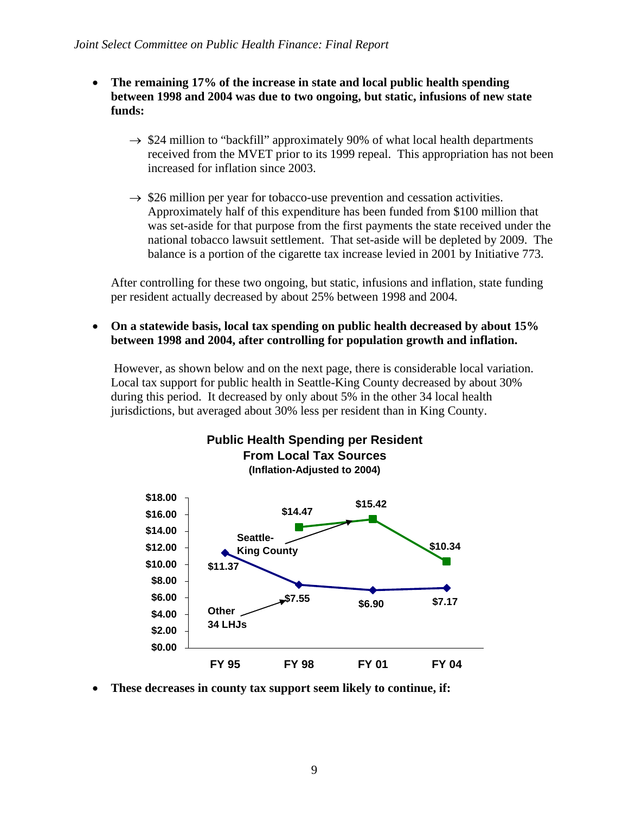- **The remaining 17% of the increase in state and local public health spending between 1998 and 2004 was due to two ongoing, but static, infusions of new state funds:**
	- $\rightarrow$  \$24 million to "backfill" approximately 90% of what local health departments received from the MVET prior to its 1999 repeal. This appropriation has not been increased for inflation since 2003.
	- $\rightarrow$  \$26 million per year for tobacco-use prevention and cessation activities. Approximately half of this expenditure has been funded from \$100 million that was set-aside for that purpose from the first payments the state received under the national tobacco lawsuit settlement. That set-aside will be depleted by 2009. The balance is a portion of the cigarette tax increase levied in 2001 by Initiative 773.

After controlling for these two ongoing, but static, infusions and inflation, state funding per resident actually decreased by about 25% between 1998 and 2004.

• **On a statewide basis, local tax spending on public health decreased by about 15% between 1998 and 2004, after controlling for population growth and inflation.** 

 However, as shown below and on the next page, there is considerable local variation. Local tax support for public health in Seattle-King County decreased by about 30% during this period. It decreased by only about 5% in the other 34 local health jurisdictions, but averaged about 30% less per resident than in King County.



• **These decreases in county tax support seem likely to continue, if:**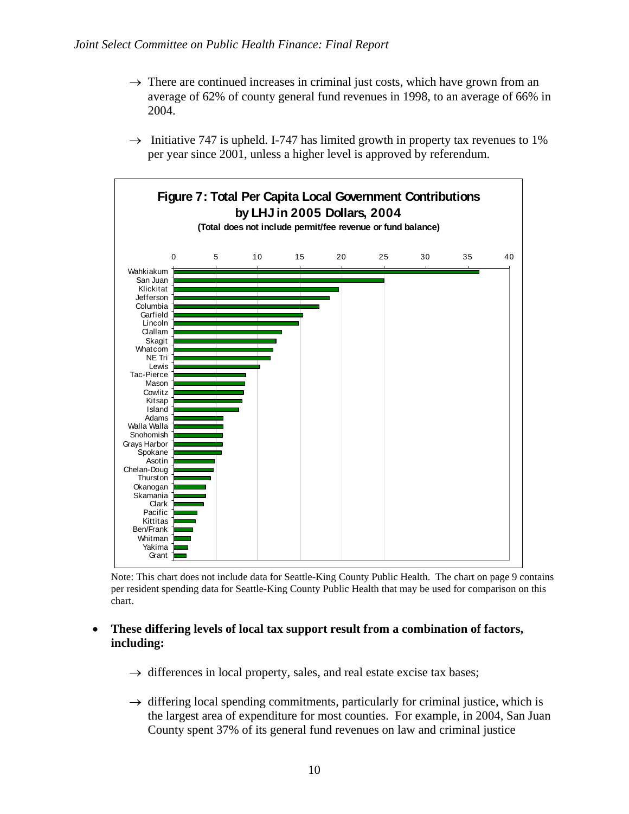- $\rightarrow$  There are continued increases in criminal just costs, which have grown from an average of 62% of county general fund revenues in 1998, to an average of 66% in 2004.
- $\rightarrow$  Initiative 747 is upheld. I-747 has limited growth in property tax revenues to 1% per year since 2001, unless a higher level is approved by referendum.



Note: This chart does not include data for Seattle-King County Public Health. The chart on page 9 contains per resident spending data for Seattle-King County Public Health that may be used for comparison on this chart.

#### • **These differing levels of local tax support result from a combination of factors, including:**

- $\rightarrow$  differences in local property, sales, and real estate excise tax bases;
- $\rightarrow$  differing local spending commitments, particularly for criminal justice, which is the largest area of expenditure for most counties. For example, in 2004, San Juan County spent 37% of its general fund revenues on law and criminal justice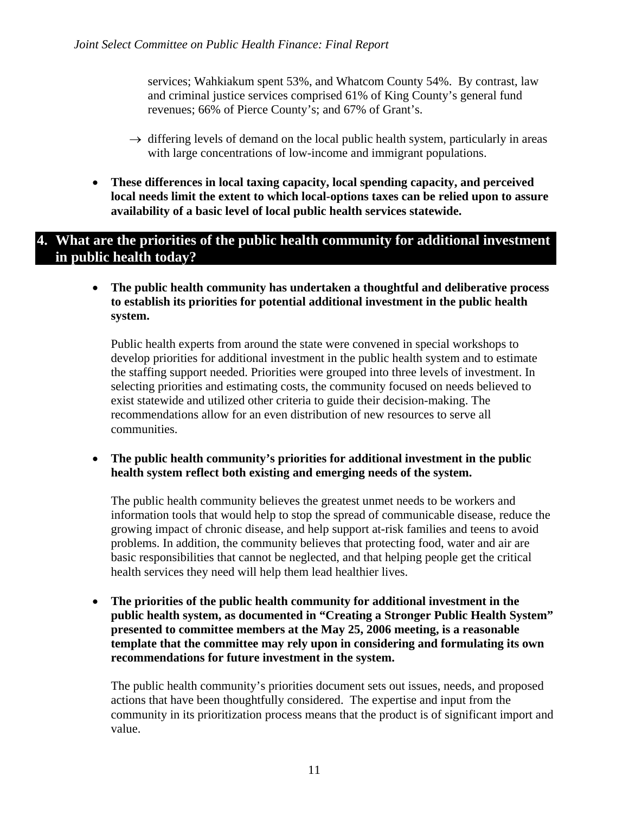services; Wahkiakum spent 53%, and Whatcom County 54%. By contrast, law and criminal justice services comprised 61% of King County's general fund revenues; 66% of Pierce County's; and 67% of Grant's.

- $\rightarrow$  differing levels of demand on the local public health system, particularly in areas with large concentrations of low-income and immigrant populations.
- **These differences in local taxing capacity, local spending capacity, and perceived local needs limit the extent to which local-options taxes can be relied upon to assure availability of a basic level of local public health services statewide.**

## **4. What are the priorities of the public health community for additional investment in public health today?**

• **The public health community has undertaken a thoughtful and deliberative process to establish its priorities for potential additional investment in the public health system.**

Public health experts from around the state were convened in special workshops to develop priorities for additional investment in the public health system and to estimate the staffing support needed. Priorities were grouped into three levels of investment. In selecting priorities and estimating costs, the community focused on needs believed to exist statewide and utilized other criteria to guide their decision-making. The recommendations allow for an even distribution of new resources to serve all communities.

• **The public health community's priorities for additional investment in the public health system reflect both existing and emerging needs of the system.**

The public health community believes the greatest unmet needs to be workers and information tools that would help to stop the spread of communicable disease, reduce the growing impact of chronic disease, and help support at-risk families and teens to avoid problems. In addition, the community believes that protecting food, water and air are basic responsibilities that cannot be neglected, and that helping people get the critical health services they need will help them lead healthier lives.

• **The priorities of the public health community for additional investment in the public health system, as documented in "Creating a Stronger Public Health System" presented to committee members at the May 25, 2006 meeting, is a reasonable template that the committee may rely upon in considering and formulating its own recommendations for future investment in the system.**

The public health community's priorities document sets out issues, needs, and proposed actions that have been thoughtfully considered. The expertise and input from the community in its prioritization process means that the product is of significant import and value.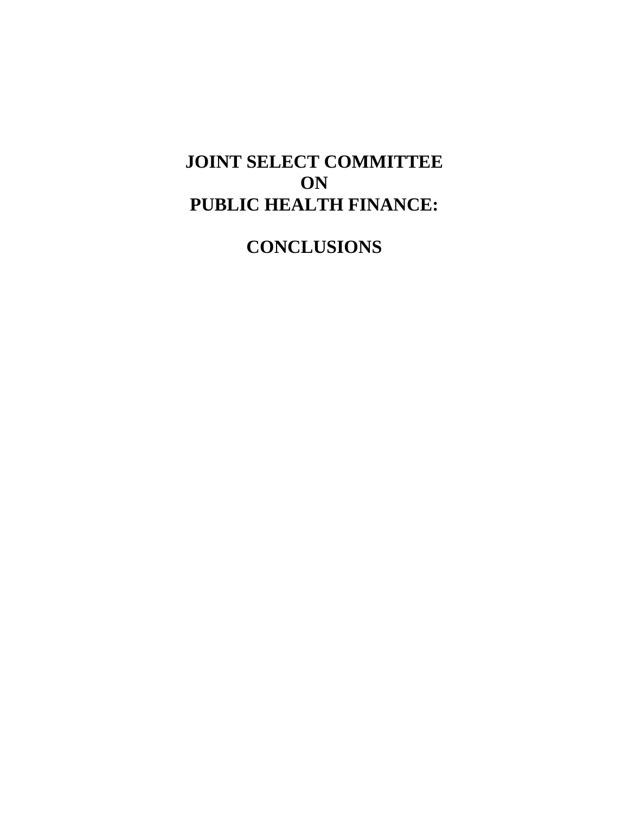# **JOINT SELECT COMMITTEE ON PUBLIC HEALTH FINANCE:**

**CONCLUSIONS**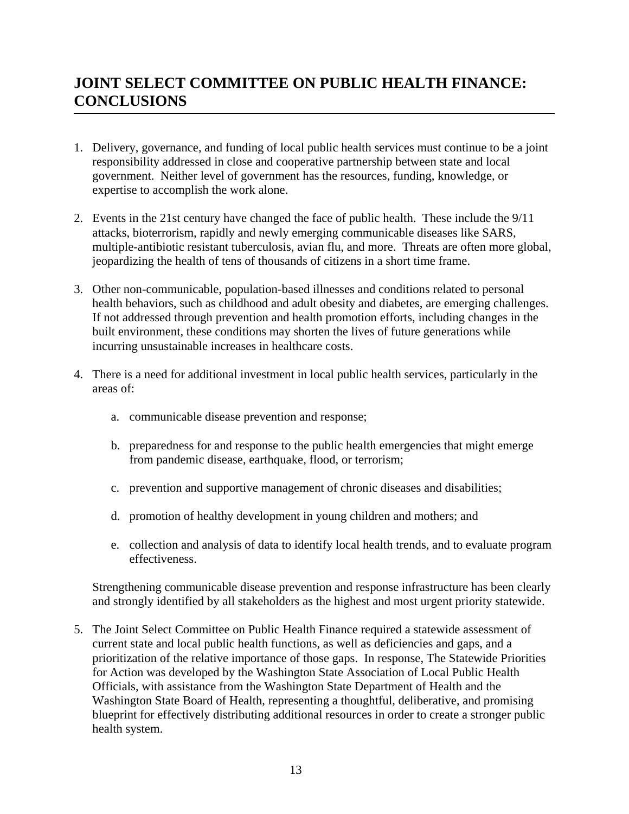# **JOINT SELECT COMMITTEE ON PUBLIC HEALTH FINANCE: CONCLUSIONS**

- 1. Delivery, governance, and funding of local public health services must continue to be a joint responsibility addressed in close and cooperative partnership between state and local government. Neither level of government has the resources, funding, knowledge, or expertise to accomplish the work alone.
- 2. Events in the 21st century have changed the face of public health. These include the 9/11 attacks, bioterrorism, rapidly and newly emerging communicable diseases like SARS, multiple-antibiotic resistant tuberculosis, avian flu, and more. Threats are often more global, jeopardizing the health of tens of thousands of citizens in a short time frame.
- 3. Other non-communicable, population-based illnesses and conditions related to personal health behaviors, such as childhood and adult obesity and diabetes, are emerging challenges. If not addressed through prevention and health promotion efforts, including changes in the built environment, these conditions may shorten the lives of future generations while incurring unsustainable increases in healthcare costs.
- 4. There is a need for additional investment in local public health services, particularly in the areas of:
	- a. communicable disease prevention and response;
	- b. preparedness for and response to the public health emergencies that might emerge from pandemic disease, earthquake, flood, or terrorism;
	- c. prevention and supportive management of chronic diseases and disabilities;
	- d. promotion of healthy development in young children and mothers; and
	- e. collection and analysis of data to identify local health trends, and to evaluate program effectiveness.

Strengthening communicable disease prevention and response infrastructure has been clearly and strongly identified by all stakeholders as the highest and most urgent priority statewide.

5. The Joint Select Committee on Public Health Finance required a statewide assessment of current state and local public health functions, as well as deficiencies and gaps, and a prioritization of the relative importance of those gaps. In response, The Statewide Priorities for Action was developed by the Washington State Association of Local Public Health Officials, with assistance from the Washington State Department of Health and the Washington State Board of Health, representing a thoughtful, deliberative, and promising blueprint for effectively distributing additional resources in order to create a stronger public health system.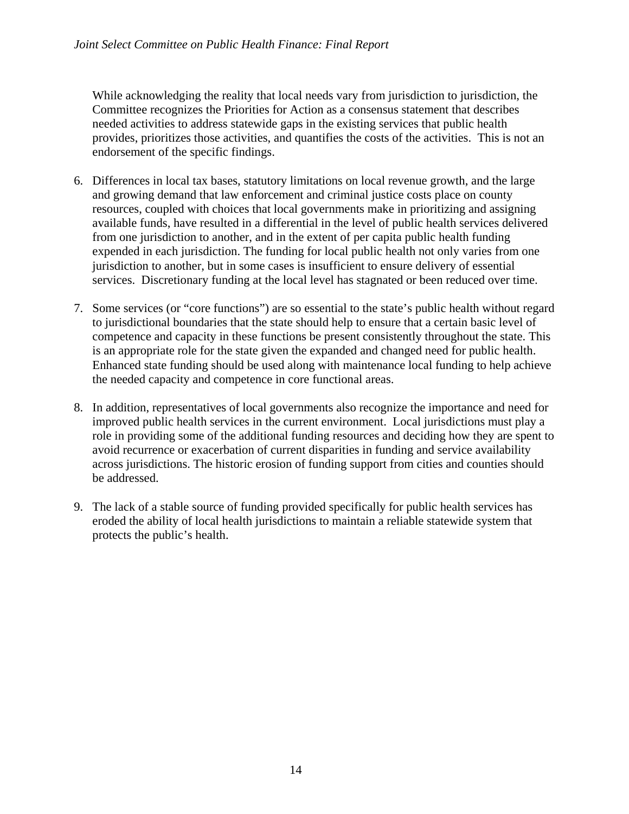While acknowledging the reality that local needs vary from jurisdiction to jurisdiction, the Committee recognizes the Priorities for Action as a consensus statement that describes needed activities to address statewide gaps in the existing services that public health provides, prioritizes those activities, and quantifies the costs of the activities. This is not an endorsement of the specific findings.

- 6. Differences in local tax bases, statutory limitations on local revenue growth, and the large and growing demand that law enforcement and criminal justice costs place on county resources, coupled with choices that local governments make in prioritizing and assigning available funds, have resulted in a differential in the level of public health services delivered from one jurisdiction to another, and in the extent of per capita public health funding expended in each jurisdiction. The funding for local public health not only varies from one jurisdiction to another, but in some cases is insufficient to ensure delivery of essential services. Discretionary funding at the local level has stagnated or been reduced over time.
- 7. Some services (or "core functions") are so essential to the state's public health without regard to jurisdictional boundaries that the state should help to ensure that a certain basic level of competence and capacity in these functions be present consistently throughout the state. This is an appropriate role for the state given the expanded and changed need for public health. Enhanced state funding should be used along with maintenance local funding to help achieve the needed capacity and competence in core functional areas.
- 8. In addition, representatives of local governments also recognize the importance and need for improved public health services in the current environment. Local jurisdictions must play a role in providing some of the additional funding resources and deciding how they are spent to avoid recurrence or exacerbation of current disparities in funding and service availability across jurisdictions. The historic erosion of funding support from cities and counties should be addressed.
- 9. The lack of a stable source of funding provided specifically for public health services has eroded the ability of local health jurisdictions to maintain a reliable statewide system that protects the public's health.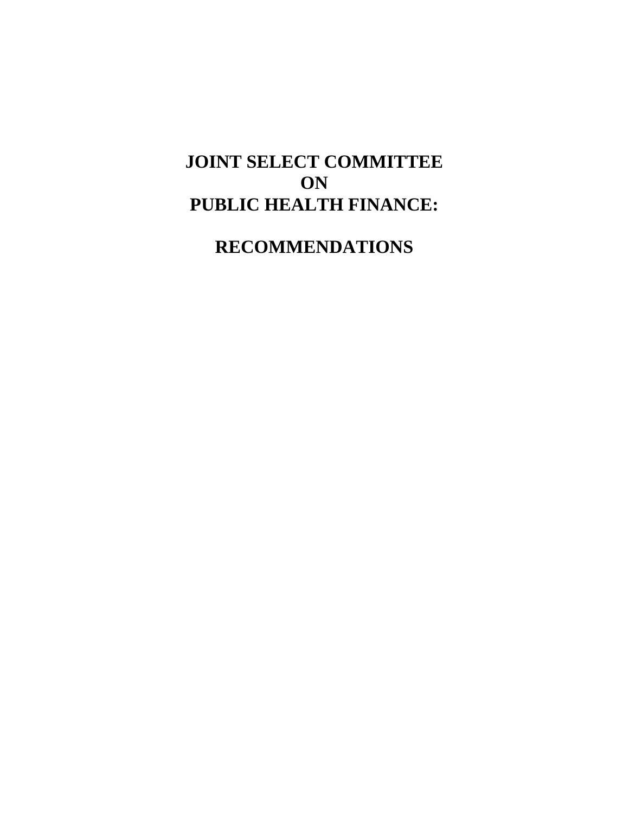# **JOINT SELECT COMMITTEE ON PUBLIC HEALTH FINANCE:**

**RECOMMENDATIONS**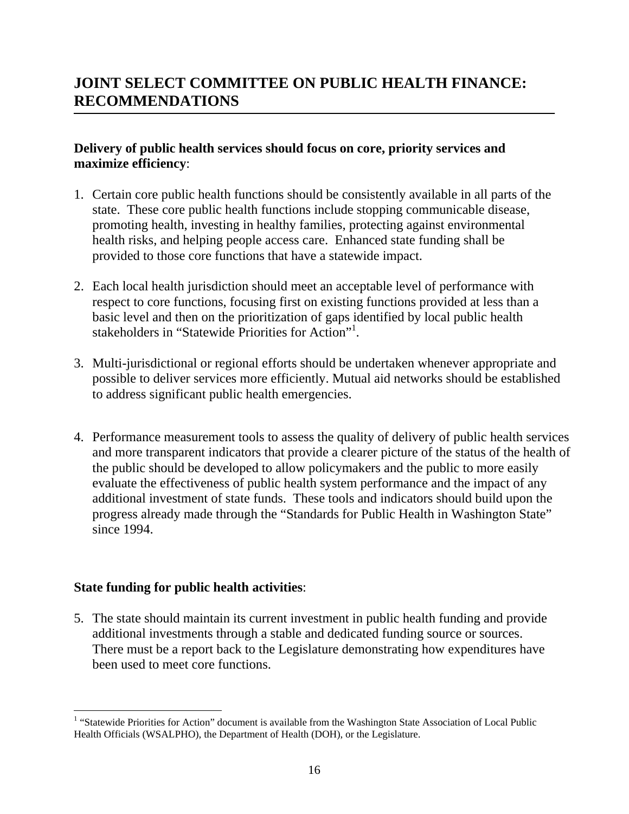### **Delivery of public health services should focus on core, priority services and maximize efficiency**:

- 1. Certain core public health functions should be consistently available in all parts of the state. These core public health functions include stopping communicable disease, promoting health, investing in healthy families, protecting against environmental health risks, and helping people access care. Enhanced state funding shall be provided to those core functions that have a statewide impact.
- 2. Each local health jurisdiction should meet an acceptable level of performance with respect to core functions, focusing first on existing functions provided at less than a basic level and then on the prioritization of gaps identified by local public health stakeholders in "Statewide Priorities for Action"<sup>1</sup>.
- 3. Multi-jurisdictional or regional efforts should be undertaken whenever appropriate and possible to deliver services more efficiently. Mutual aid networks should be established to address significant public health emergencies.
- 4. Performance measurement tools to assess the quality of delivery of public health services and more transparent indicators that provide a clearer picture of the status of the health of the public should be developed to allow policymakers and the public to more easily evaluate the effectiveness of public health system performance and the impact of any additional investment of state funds. These tools and indicators should build upon the progress already made through the "Standards for Public Health in Washington State" since 1994.

#### **State funding for public health activities**:

5. The state should maintain its current investment in public health funding and provide additional investments through a stable and dedicated funding source or sources. There must be a report back to the Legislature demonstrating how expenditures have been used to meet core functions.

 1 "Statewide Priorities for Action" document is available from the Washington State Association of Local Public Health Officials (WSALPHO), the Department of Health (DOH), or the Legislature.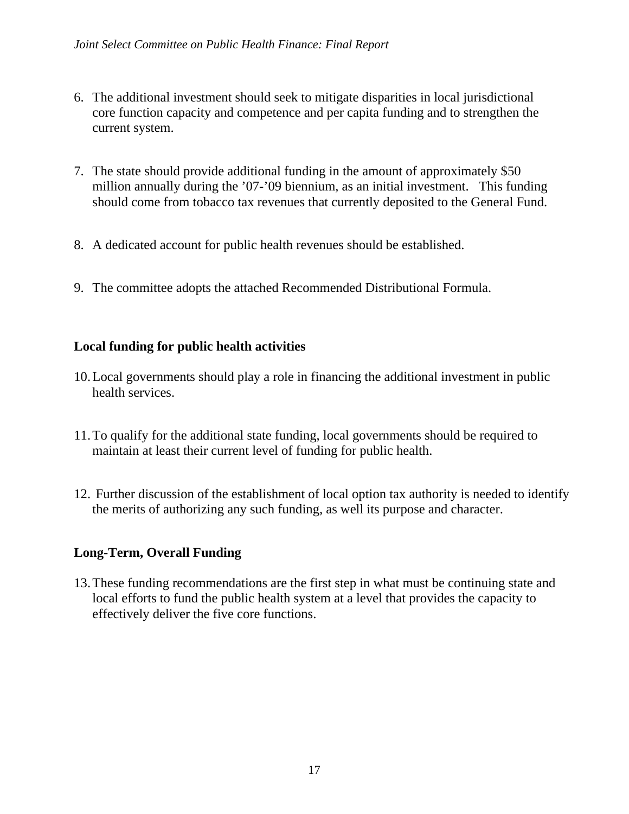- 6. The additional investment should seek to mitigate disparities in local jurisdictional core function capacity and competence and per capita funding and to strengthen the current system.
- 7. The state should provide additional funding in the amount of approximately \$50 million annually during the '07-'09 biennium, as an initial investment. This funding should come from tobacco tax revenues that currently deposited to the General Fund.
- 8. A dedicated account for public health revenues should be established.
- 9. The committee adopts the attached Recommended Distributional Formula.

### **Local funding for public health activities**

- 10.Local governments should play a role in financing the additional investment in public health services.
- 11.To qualify for the additional state funding, local governments should be required to maintain at least their current level of funding for public health.
- 12. Further discussion of the establishment of local option tax authority is needed to identify the merits of authorizing any such funding, as well its purpose and character.

#### **Long-Term, Overall Funding**

13.These funding recommendations are the first step in what must be continuing state and local efforts to fund the public health system at a level that provides the capacity to effectively deliver the five core functions.